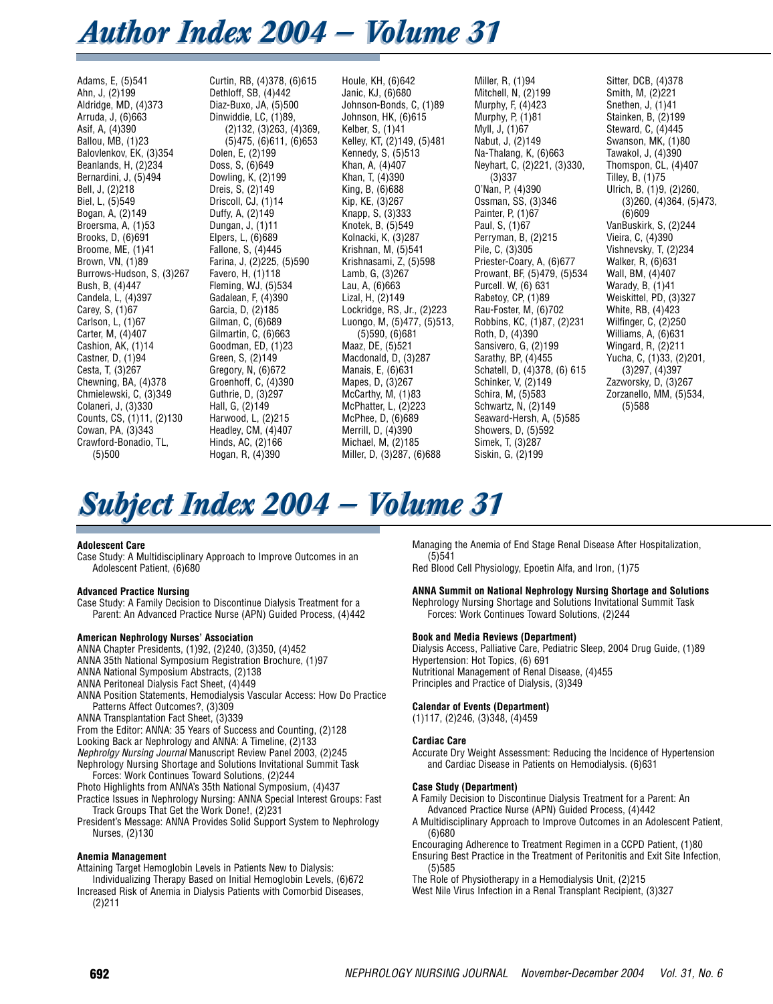## *Author Index 2004 – Volume 31*

Adams, E, (5)541 Ahn, J, (2)199 Aldridge, MD, (4)373 Arruda, J, (6)663 Asif, A, (4)390 Ballou, MB, (1)23 Balovlenkov, EK, (3)354 Beanlands, H, (2)234 Bernardini, J, (5)494 Bell, J, (2)218 Biel, L, (5)549 Bogan, A, (2)149 Broersma, A, (1)53 Brooks, D, (6)691 Broome, ME, (1)41 Brown, VN, (1)89 Burrows-Hudson, S, (3)267 Bush, B, (4)447 Candela, L, (4)397 Carey, S, (1)67 Carlson, L, (1)67 Carter, M, (4)407 Cashion, AK, (1)14 Castner, D, (1)94 Cesta, T, (3)267 Chewning, BA, (4)378 Chmielewski, C, (3)349 Colaneri, J, (3)330 Counts, CS, (1)11, (2)130 Cowan, PA, (3)343 Crawford-Bonadio, TL, (5)500

Curtin, RB, (4)378, (6)615 Dethloff, SB, (4)442 Diaz-Buxo, JA, (5)500 Dinwiddie, LC, (1)89, (2)132, (3)263, (4)369, (5)475, (6)611, (6)653 Dolen, E, (2)199 Doss, S, (6)649 Dowling, K, (2)199 Dreis, S, (2)149 Driscoll, CJ, (1)14 Duffy, A, (2)149 Dungan, J, (1)11 Elpers, L, (6)689 Fallone, S, (4)445 Farina, J,  $(2)225$ ,  $(5)590$ Favero, H, (1)118 Fleming, WJ, (5)534 Gadalean, F, (4)390 Garcia, D, (2)185 Gilman, C, (6)689 Gilmartin, C, (6)663 Goodman, ED, (1)23 Green, S, (2)149 Gregory, N, (6)672 Groenhoff, C, (4)390 Guthrie, D, (3)297 Hall, G, (2)149 Harwood, L, (2)215 Headley, CM, (4)407 Hinds, AC, (2)166 Hogan, R, (4)390

Houle, KH, (6)642 Janic, KJ, (6)680 Johnson-Bonds, C, (1)89 Johnson, HK, (6)615 Kelber, S, (1)41 Kelley, KT, (2)149, (5)481 Kennedy, S, (5)513 Khan, A, (4)407 Khan, T, (4)390 King, B, (6)688 Kip, KE, (3)267 Knapp, S, (3)333 Knotek, B, (5)549 Kolnacki, K, (3)287 Krishnan, M, (5)541 Krishnasami, Z, (5)598 Lamb, G, (3)267 Lau, A, (6)663 Lizal, H, (2)149 Lockridge, RS, Jr., (2)223 Luongo, M, (5)477, (5)513, (5)590, (6)681 Maaz, DE, (5)521 Macdonald, D, (3)287 Manais, E, (6)631 Mapes, D, (3)267 McCarthy, M, (1)83 McPhatter, L, (2)223 McPhee, D, (6)689 Merrill, D, (4)390 Michael, M, (2)185 Miller, D, (3)287, (6)688

Miller, R, (1)94 Mitchell, N, (2)199 Murphy, F, (4)423 Murphy, P, (1)81 Myll, J, (1)67 Nabut, J, (2)149 Na-Thalang, K, (6)663 Neyhart, C, (2)221, (3)330, (3)337 O'Nan, P, (4)390 Ossman, SS, (3)346 Painter, P, (1)67 Paul, S, (1)67 Perryman, B, (2)215 Pile, C, (3)305 Priester-Coary, A, (6)677 Prowant, BF, (5)479, (5)534 Purcell. W, (6) 631 Rabetoy, CP, (1)89 Rau-Foster, M, (6)702 Robbins, KC, (1)87, (2)231 Roth, D, (4)390 Sansivero, G, (2)199 Sarathy, BP, (4)455 Schatell, D, (4)378, (6) 615 Schinker, V, (2)149 Schira, M, (5)583 Schwartz, N, (2)149 Seaward-Hersh, A, (5)585 Showers, D, (5)592 Simek, T, (3)287 Siskin, G, (2)199

Sitter, DCB, (4)378 Smith, M, (2)221 Snethen, J. (1)41 Stainken, B, (2)199 Steward, C, (4)445 Swanson, MK, (1)80 Tawakol, J, (4)390 Thomspon, CL, (4)407 Tilley, B, (1)75 Ulrich, B, (1)9, (2)260, (3)260, (4)364, (5)473,  $(6)609$ VanBuskirk, S, (2)244 Vieira, C, (4)390 Vishnevsky, T, (2)234 Walker, R, (6)631 Wall, BM, (4)407 Warady, B, (1)41 Weiskittel, PD, (3)327 White, RB, (4)423 Wilfinger, C, (2)250 Williams, A, (6)631 Wingard, R, (2)211 Yucha, C, (1)33, (2)201, (3)297, (4)397 Zazworsky, D, (3)267 Zorzanello, MM, (5)534, (5)588

# **Subject Index 2004 – Volume 31**

#### **Adolescent Care**

Case Study: A Multidisciplinary Approach to Improve Outcomes in an Adolescent Patient, (6)680

## **Advanced Practice Nursing**

Case Study: A Family Decision to Discontinue Dialysis Treatment for a Parent: An Advanced Practice Nurse (APN) Guided Process, (4)442

## **American Nephrology Nurses' Association**

ANNA Chapter Presidents, (1)92, (2)240, (3)350, (4)452

ANNA 35th National Symposium Registration Brochure, (1)97

ANNA National Symposium Abstracts, (2)138

ANNA Peritoneal Dialysis Fact Sheet, (4)449

ANNA Position Statements, Hemodialysis Vascular Access: How Do Practice Patterns Affect Outcomes?, (3)309

ANNA Transplantation Fact Sheet, (3)339

From the Editor: ANNA: 35 Years of Success and Counting, (2)128

Looking Back ar Nephrology and ANNA: A Timeline, (2)133

*Nephrolgy Nursing Journal* Manuscript Review Panel 2003, (2)245 Nephrology Nursing Shortage and Solutions Invitational Summit Task Forces: Work Continues Toward Solutions, (2)244

Photo Highlights from ANNA's 35th National Symposium, (4)437

Practice Issues in Nephrology Nursing: ANNA Special Interest Groups: Fast Track Groups That Get the Work Done!, (2)231

President's Message: ANNA Provides Solid Support System to Nephrology Nurses, (2)130

## **Anemia Management**

Attaining Target Hemoglobin Levels in Patients New to Dialysis: Individualizing Therapy Based on Initial Hemoglobin Levels, (6)672

Increased Risk of Anemia in Dialysis Patients with Comorbid Diseases, (2)211

Managing the Anemia of End Stage Renal Disease After Hospitalization, (5)541

Red Blood Cell Physiology, Epoetin Alfa, and Iron, (1)75

## **ANNA Summit on National Nephrology Nursing Shortage and Solutions**

Nephrology Nursing Shortage and Solutions Invitational Summit Task Forces: Work Continues Toward Solutions, (2)244

## **Book and Media Reviews (Department)**

Dialysis Access, Palliative Care, Pediatric Sleep, 2004 Drug Guide, (1)89 Hypertension: Hot Topics, (6) 691 Nutritional Management of Renal Disease, (4)455 Principles and Practice of Dialysis, (3)349

## **Calendar of Events (Department)**

(1)117, (2)246, (3)348, (4)459

## **Cardiac Care**

Accurate Dry Weight Assessment: Reducing the Incidence of Hypertension and Cardiac Disease in Patients on Hemodialysis. (6)631

## **Case Study (Department)**

A Family Decision to Discontinue Dialysis Treatment for a Parent: An Advanced Practice Nurse (APN) Guided Process, (4)442

A Multidisciplinary Approach to Improve Outcomes in an Adolescent Patient, (6)680

Encouraging Adherence to Treatment Regimen in a CCPD Patient, (1)80 Ensuring Best Practice in the Treatment of Peritonitis and Exit Site Infection, (5)585

The Role of Physiotherapy in a Hemodialysis Unit, (2)215

West Nile Virus Infection in a Renal Transplant Recipient, (3)327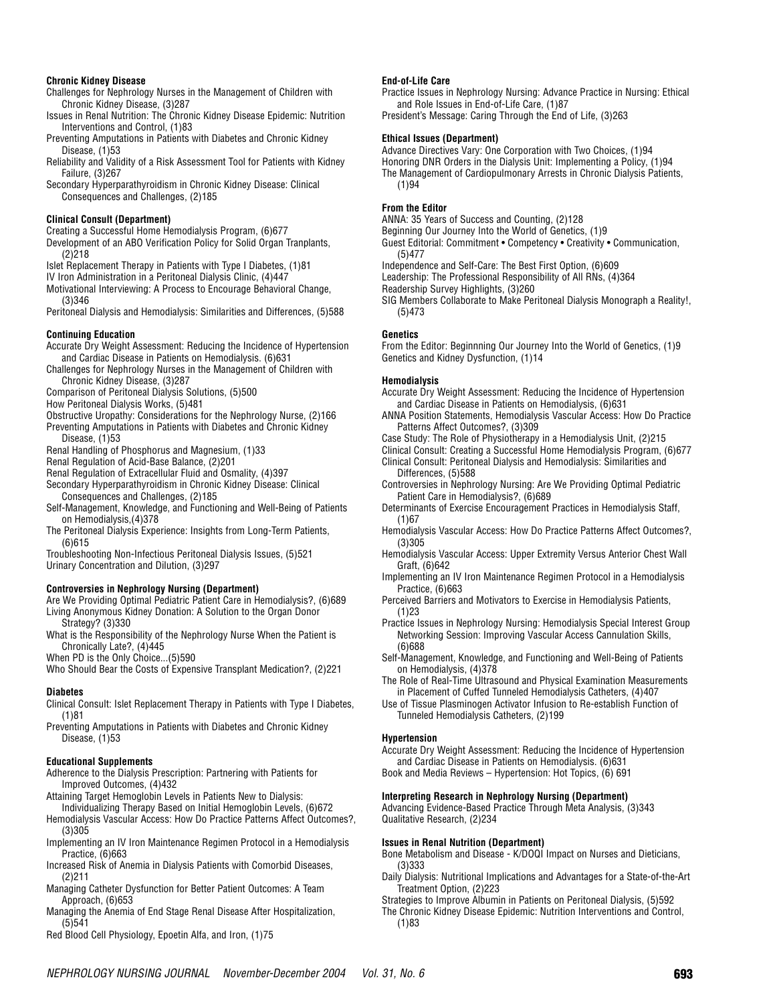#### **Chronic Kidney Disease**

Challenges for Nephrology Nurses in the Management of Children with Chronic Kidney Disease, (3)287

Issues in Renal Nutrition: The Chronic Kidney Disease Epidemic: Nutrition Interventions and Control, (1)83

- Preventing Amputations in Patients with Diabetes and Chronic Kidney Disease, (1)53
- Reliability and Validity of a Risk Assessment Tool for Patients with Kidney Failure, (3)267
- Secondary Hyperparathyroidism in Chronic Kidney Disease: Clinical Consequences and Challenges, (2)185

#### **Clinical Consult (Department)**

Creating a Successful Home Hemodialysis Program, (6)677

Development of an ABO Verification Policy for Solid Organ Tranplants.  $(2)$ 218

Islet Replacement Therapy in Patients with Type I Diabetes, (1)81

IV Iron Administration in a Peritoneal Dialysis Clinic, (4)447

Motivational Interviewing: A Process to Encourage Behavioral Change, (3)346

Peritoneal Dialysis and Hemodialysis: Similarities and Differences, (5)588

## **Continuing Education**

Accurate Dry Weight Assessment: Reducing the Incidence of Hypertension and Cardiac Disease in Patients on Hemodialysis. (6)631

Challenges for Nephrology Nurses in the Management of Children with Chronic Kidney Disease, (3)287

Comparison of Peritoneal Dialysis Solutions, (5)500

How Peritoneal Dialysis Works, (5)481

Obstructive Uropathy: Considerations for the Nephrology Nurse, (2)166 Preventing Amputations in Patients with Diabetes and Chronic Kidney

Disease, (1)53

Renal Handling of Phosphorus and Magnesium, (1)33

Renal Regulation of Acid-Base Balance, (2)201

Renal Regulation of Extracellular Fluid and Osmality, (4)397

Secondary Hyperparathyroidism in Chronic Kidney Disease: Clinical Consequences and Challenges, (2)185

Self-Management, Knowledge, and Functioning and Well-Being of Patients on Hemodialysis,(4)378

The Peritoneal Dialysis Experience: Insights from Long-Term Patients, (6)615

Troubleshooting Non-Infectious Peritoneal Dialysis Issues, (5)521 Urinary Concentration and Dilution, (3)297

## **Controversies in Nephrology Nursing (Department)**

Are We Providing Optimal Pediatric Patient Care in Hemodialysis?, (6)689 Living Anonymous Kidney Donation: A Solution to the Organ Donor Strategy? (3)330

What is the Responsibility of the Nephrology Nurse When the Patient is Chronically Late?, (4)445

When PD is the Only Choice...(5)590

Who Should Bear the Costs of Expensive Transplant Medication?, (2)221

## **Diabetes**

Clinical Consult: Islet Replacement Therapy in Patients with Type I Diabetes, (1)81

Preventing Amputations in Patients with Diabetes and Chronic Kidney Disease, (1)53

## **Educational Supplements**

Adherence to the Dialysis Prescription: Partnering with Patients for Improved Outcomes, (4)432

Attaining Target Hemoglobin Levels in Patients New to Dialysis:

Individualizing Therapy Based on Initial Hemoglobin Levels, (6)672 Hemodialysis Vascular Access: How Do Practice Patterns Affect Outcomes?,

(3)305 Implementing an IV Iron Maintenance Regimen Protocol in a Hemodialysis

Practice, (6)663

Increased Risk of Anemia in Dialysis Patients with Comorbid Diseases, (2)211

Managing Catheter Dysfunction for Better Patient Outcomes: A Team Approach, (6)653

Managing the Anemia of End Stage Renal Disease After Hospitalization, (5)541

Red Blood Cell Physiology, Epoetin Alfa, and Iron, (1)75

#### **End-of-Life Care**

Practice Issues in Nephrology Nursing: Advance Practice in Nursing: Ethical and Role Issues in End-of-Life Care, (1)87

President's Message: Caring Through the End of Life, (3)263

#### **Ethical Issues (Department)**

Advance Directives Vary: One Corporation with Two Choices, (1)94 Honoring DNR Orders in the Dialysis Unit: Implementing a Policy, (1)94 The Management of Cardiopulmonary Arrests in Chronic Dialysis Patients, (1)94

## **From the Editor**

ANNA: 35 Years of Success and Counting, (2)128

Beginning Our Journey Into the World of Genetics, (1)9

Guest Editorial: Commitment • Competency • Creativity • Communication, (5)477

Independence and Self-Care: The Best First Option, (6)609

Leadership: The Professional Responsibility of All RNs, (4)364

Readership Survey Highlights, (3)260

SIG Members Collaborate to Make Peritoneal Dialysis Monograph a Reality!, (5)473

## **Genetics**

From the Editor: Beginnning Our Journey Into the World of Genetics, (1)9 Genetics and Kidney Dysfunction, (1)14

## **Hemodialysis**

Accurate Dry Weight Assessment: Reducing the Incidence of Hypertension and Cardiac Disease in Patients on Hemodialysis, (6)631

ANNA Position Statements, Hemodialysis Vascular Access: How Do Practice Patterns Affect Outcomes?, (3)309

Case Study: The Role of Physiotherapy in a Hemodialysis Unit, (2)215

Clinical Consult: Creating a Successful Home Hemodialysis Program, (6)677 Clinical Consult: Peritoneal Dialysis and Hemodialysis: Similarities and

Differences, (5)588 Controversies in Nephrology Nursing: Are We Providing Optimal Pediatric Patient Care in Hemodialysis?, (6)689

Determinants of Exercise Encouragement Practices in Hemodialysis Staff, (1)67

- Hemodialysis Vascular Access: How Do Practice Patterns Affect Outcomes?, (3)305
- Hemodialysis Vascular Access: Upper Extremity Versus Anterior Chest Wall Graft, (6)642
- Implementing an IV Iron Maintenance Regimen Protocol in a Hemodialysis Practice, (6)663
- Perceived Barriers and Motivators to Exercise in Hemodialysis Patients, (1)23

Practice Issues in Nephrology Nursing: Hemodialysis Special Interest Group Networking Session: Improving Vascular Access Cannulation Skills, (6)688

Self-Management, Knowledge, and Functioning and Well-Being of Patients on Hemodialysis, (4)378

The Role of Real-Time Ultrasound and Physical Examination Measurements in Placement of Cuffed Tunneled Hemodialysis Catheters, (4)407

Use of Tissue Plasminogen Activator Infusion to Re-establish Function of Tunneled Hemodialysis Catheters, (2)199

## **Hypertension**

Accurate Dry Weight Assessment: Reducing the Incidence of Hypertension and Cardiac Disease in Patients on Hemodialysis. (6)631

Book and Media Reviews – Hypertension: Hot Topics, (6) 691

## **Interpreting Research in Nephrology Nursing (Department)**

Advancing Evidence-Based Practice Through Meta Analysis, (3)343 Qualitative Research, (2)234

## **Issues in Renal Nutrition (Department)**

Bone Metabolism and Disease - K/DOQI Impact on Nurses and Dieticians, (3)333

Daily Dialysis: Nutritional Implications and Advantages for a State-of-the-Art Treatment Option, (2)223

Strategies to Improve Albumin in Patients on Peritoneal Dialysis, (5)592

The Chronic Kidney Disease Epidemic: Nutrition Interventions and Control, (1)83